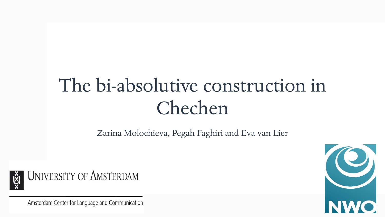## The bi-absolutive construction in Chechen

Zarina Molochieva, Pegah Faghiri and Eva van Lier



**UNIVERSITY OF AMSTERDAM** 

Amsterdam Center for Language and Communication

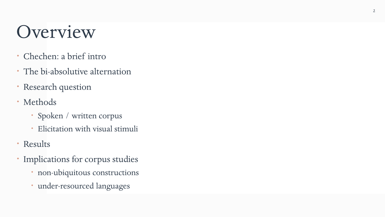### Overview

- Chechen: a brief intro
- The bi-absolutive alternation
- Research question
- Methods
	- Spoken / written corpus
	- Elicitation with visual stimuli
- Results
- Implications for corpus studies
	- non-ubiquitous constructions
	- under-resourced languages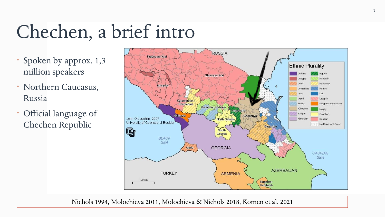## Chechen, a brief intro

- \* Spoken by approx. 1,3 million speakers
- Northern Caucasus, Russia
- Official language of Chechen Republic



Nichols 1994, Molochieva 2011, Molochieva & Nichols 2018, Komen et al. 2021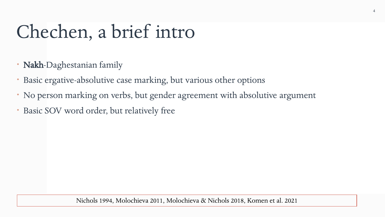## Chechen, a brief intro

- \* Nakh-Daghestanian family
- Basic ergative-absolutive case marking, but various other options
- No person marking on verbs, but gender agreement with absolutive argument
- Basic SOV word order, but relatively free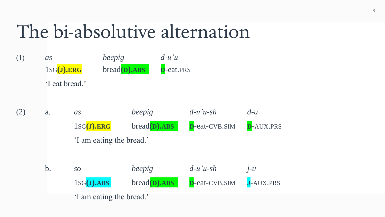### The bi-absolutive alternation

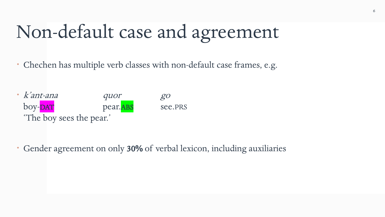## Non-default case and agreement

Chechen has multiple verb classes with non-default case frames, e.g.

 k'ant-ana quor go boy-DAT pear.ABS see.PRS 'The boy sees the pear.'

Gender agreement on only 30% of verbal lexicon, including auxiliaries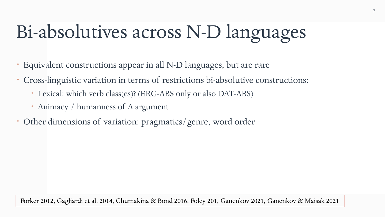## Bi-absolutives across N-D languages

- Equivalent constructions appear in all N-D languages, but are rare
- Cross-linguistic variation in terms of restrictions bi-absolutive constructions:
	- Lexical: which verb class(es)? (ERG-ABS only or also DAT-ABS)
	- Animacy / humanness of A argument
- Other dimensions of variation: pragmatics/genre, word order

Forker 2012, Gagliardi et al. 2014, Chumakina & Bond 2016, Foley 201, Ganenkov 2021, Ganenkov & Maisak 2021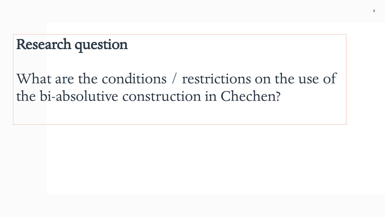#### Research question

What are the conditions / restrictions on the use of the bi-absolutive construction in Chechen?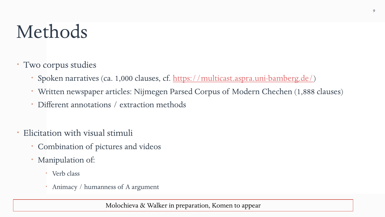## Methods

#### Two corpus studies

- Spoken narratives (ca. 1,000 clauses, cf. <https://multicast.aspra.uni-bamberg.de/>)
- Written newspaper articles: Nijmegen Parsed Corpus of Modern Chechen (1,888 clauses)
- Different annotations / extraction methods
- Elicitation with visual stimuli
	- Combination of pictures and videos
	- Manipulation of:
		- Verb class
		- Animacy / humanness of A argument

Molochieva & Walker in preparation, Komen to appear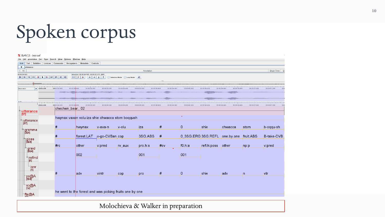#### Molochieva & Walker in preparation

|                                             |                             | File Edit Annotation Tier Type Search View Options Window Help |                                                         |                                               |                            |                              |              |                                 |                     |                              |              |                   |
|---------------------------------------------|-----------------------------|----------------------------------------------------------------|---------------------------------------------------------|-----------------------------------------------|----------------------------|------------------------------|--------------|---------------------------------|---------------------|------------------------------|--------------|-------------------|
| Grid<br><b>Text</b><br>$\blacktriangledown$ | <b>Subtitles</b><br>Lexicon | <b>Recognizers</b><br><b>Comments</b>                          | <b>Metadata</b>                                         | <b>Controls</b>                               |                            |                              |              |                                 |                     |                              |              |                   |
| utterance<br>> Nr                           |                             |                                                                |                                                         |                                               |                            | Annotation                   |              |                                 |                     |                              |              | <b>Begin Time</b> |
| 00:00:04.820                                |                             |                                                                | Selection: 00:00:04.565 - 00:00:07.370 2805             |                                               |                            |                              |              |                                 |                     |                              |              |                   |
|                                             |                             |                                                                | s <br>$\vdash$<br>$\leftarrow$                          | $\rightarrow$ 1<br>$\downarrow$<br>$\uparrow$ | Selection Mode   Loop Mode | $\lnot$ (i)                  |              |                                 |                     |                              |              |                   |
|                                             |                             |                                                                |                                                         |                                               |                            |                              |              |                                 |                     |                              |              |                   |
| <b>A. R. L. L. L. L.</b>                    |                             |                                                                |                                                         |                                               |                            |                              |              |                                 |                     |                              |              |                   |
| bear.wav                                    | $\bullet$ :00:04.400        | 00:00:04.600                                                   | 00:00:04.800<br>00:00:05.000                            | 00:00:05.201                                  | 00:00:05.400               | 00:00:05.80                  | 00:00:06.000 | 00:00:06.200                    | 00:00:06.400        | 00:00:06.600                 | 00:00:07.00  |                   |
|                                             |                             |                                                                | 1980 <del>-1990 1991 1991 1991 1992 1993 1994</del>     |                                               |                            |                              |              |                                 | <b>WELL THERE</b>   |                              |              |                   |
|                                             |                             |                                                                |                                                         |                                               |                            |                              |              |                                 |                     |                              |              |                   |
| 高度                                          |                             |                                                                |                                                         |                                               |                            |                              |              |                                 | <b>WELL BEEFING</b> |                              |              |                   |
|                                             | :00:04.400                  | 00:00:04.600                                                   | 00:00:04,800<br>00:00:05.000                            | 00:00:05.200                                  | 00:00:05.400               | 00:00:05.600<br>00:00:05.800 | 00:00:06.000 | 00:00:06.200                    | 00:00:06.400        | 00:00:06.800<br>00:00:06.600 | 00:00:07.000 | 00:00:07.200      |
|                                             |                             | chechen_bear_02                                                |                                                         |                                               |                            |                              |              |                                 |                     |                              |              |                   |
| utterance                                   |                             |                                                                |                                                         |                                               |                            |                              |              |                                 |                     |                              |              |                   |
| $\overline{[57]}$                           |                             |                                                                |                                                         |                                               |                            |                              |              |                                 |                     |                              |              |                   |
| utterance                                   |                             | hwynax vaxan volu iza shie chwacca stom boqqush                |                                                         |                                               |                            |                              |              |                                 |                     |                              |              |                   |
| $[57]$                                      |                             |                                                                |                                                         |                                               |                            |                              |              |                                 |                     |                              |              |                   |
|                                             |                             | #                                                              | hwynax                                                  | v-axa-n                                       | <sub>I</sub> v-olu         | iza                          | #            | 0                               | shie                | chwacca                      | stom         | b-oqqu-sh         |
| ๅgramma<br> ิ <sub>[</sub> 324]             |                             |                                                                |                                                         |                                               |                            |                              |              |                                 |                     |                              |              |                   |
|                                             |                             |                                                                |                                                         |                                               |                            |                              |              |                                 |                     |                              |              |                   |
|                                             |                             | #                                                              | forest.LAT                                              | <sub>I</sub> v-go-CVBan <sub>J</sub> cop      |                            | 3SG.ABS                      | $\parallel$  | 0_3SG.ERG <sub>1</sub> 3SG.REFL |                     | one.by.one                   | fruit.ABS    | <b>B-take-CVB</b> |
| <sup>⊕</sup> ∏gloss<br>∏[324]               |                             |                                                                |                                                         |                                               |                            |                              |              |                                 |                     |                              |              |                   |
|                                             |                             | Hrc                                                            | other                                                   | ∣v pred                                       | $IV_$ aux                  | <sub>l</sub> pro.h∶s         | ∦cv          | <sub>l</sub> f0.h∶a             | refl.h:poss         | other                        | pp:p         | ∣v∶pred           |
| <sup>⊕</sup> graid<br> 324]                 |                             |                                                                |                                                         |                                               |                            |                              |              |                                 |                     |                              |              |                   |
|                                             |                             |                                                                | 002                                                     |                                               |                            | 001                          |              | 001                             |                     |                              |              |                   |
|                                             |                             |                                                                |                                                         |                                               |                            |                              |              |                                 |                     |                              |              |                   |
| $\mathbb{F}$ refind                         |                             |                                                                |                                                         |                                               |                            |                              |              |                                 |                     |                              |              |                   |
|                                             |                             |                                                                |                                                         |                                               |                            |                              |              |                                 |                     |                              |              |                   |
| ⊺isnr<br>[1]                                |                             |                                                                |                                                         |                                               |                            |                              |              |                                 |                     |                              |              |                   |
|                                             |                             | ı#                                                             | adv                                                     | vintr                                         |                            |                              | #            | $\overline{\mathbf{0}}$         | shie                | adv                          | in.          | ∣∨tr              |
| ps@A<br>[324]                               |                             |                                                                |                                                         |                                               | cop                        | pro                          |              |                                 |                     |                              |              |                   |
|                                             |                             |                                                                |                                                         |                                               |                            |                              |              |                                 |                     |                              |              |                   |
|                                             |                             |                                                                |                                                         |                                               |                            |                              |              |                                 |                     |                              |              |                   |
| so@A<br>[14]                                |                             |                                                                |                                                         |                                               |                            |                              |              |                                 |                     |                              |              |                   |
|                                             |                             |                                                                | he went to the forest and was picking fruits one by one |                                               |                            |                              |              |                                 |                     |                              |              |                   |
| fte@A                                       |                             |                                                                |                                                         |                                               |                            |                              |              |                                 |                     |                              |              |                   |

#### LELAN 5.3 - bear.eaf

Spoken corpus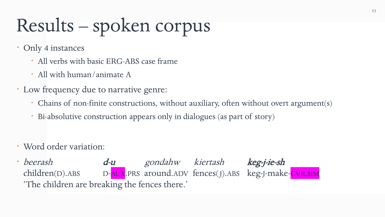# Results – spoken corpus

- Only 4 instances
	- All verbs with basic ERG-ABS case frame
	- All with human/animate A
- Low frequency due to narrative genre:
	- Chains of non-finite constructions, without auxiliary, often without overt argument(s)
	- Bi-absolutive construction appears only in dialogues (as part of story)
- Word order variation:
- beerash d-u gondahw kiertash keg-j-ie-sh children(D).ABS D-AUX.PRS around.ADV fences(J).ABS keg-J-make-CVB.SIM 'The children are breaking the fences there.'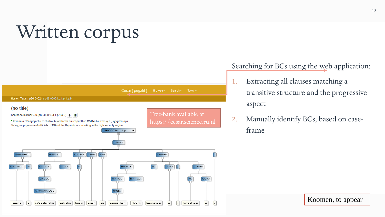## Written corpus



Searching for BCs using the web application:

- 1. Extracting all clauses matching a transitive structure and the progressive aspect
- 2. Manually identify BCs, based on caseframe

Koomen, to appear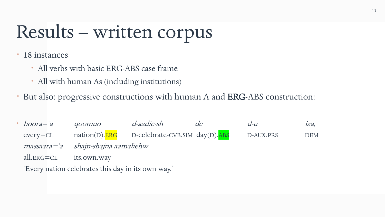## Results – written corpus

18 instances

- All verbs with basic ERG-ABS case frame
- All with human As (including institutions)
- But also: progressive constructions with human A and ERG-ABS construction:

 hoora='a qoomuo d-azdie-sh de d-u iza, every=CL nation(D).ERG D-celebrate-CVB.SIM day(D).ABS D-AUX.PRS DEM massaara='a shajn-shajna aamaliehw all.ERG=CL its.own.way 'Every nation celebrates this day in its own way.'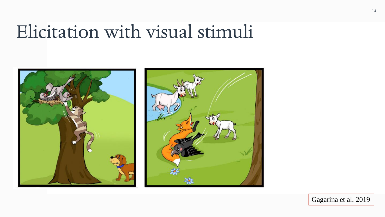#### Elicitation with visual stimuli





Gagarina et al. 2019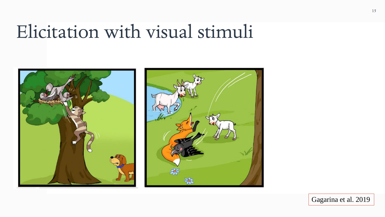#### Elicitation with visual stimuli





Gagarina et al. 2019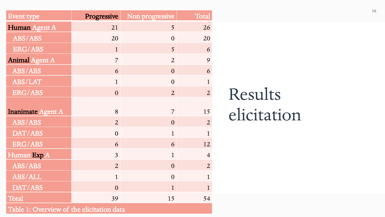| <b>Event type</b>        | Progressive    | Non progressive | Total          |
|--------------------------|----------------|-----------------|----------------|
| Human Agent A            | 21             | 5               | 26             |
| ABS/ABS                  | 20             | $\overline{0}$  | 20             |
| <b>ERG/ABS</b>           | $\mathbf{1}$   | 5               | 6              |
| <b>Animal Agent A</b>    | $\overline{7}$ | $\overline{2}$  | 9              |
| ABS/ABS                  | 6              | $\overline{0}$  | 6              |
| ABS/LAT                  | $\mathbf{1}$   | $\overline{0}$  | $\mathbf{1}$   |
| <b>ERG/ABS</b>           | $\overline{0}$ | $\overline{2}$  | $\overline{2}$ |
|                          |                |                 |                |
| <b>Inanimate Agent A</b> | 8              | $\overline{7}$  | 15             |
| ABS/ABS                  | $\overline{2}$ | $\overline{0}$  | $\overline{2}$ |
| DAT/ABS                  | $\overline{0}$ | $\mathbf{1}$    | $\mathbf{1}$   |
| <b>ERG/ABS</b>           | 6              | 6               | 12             |
| Human Exp A              | $\overline{3}$ | $\mathbf{1}$    | $\overline{4}$ |
| ABS/ABS                  | $\overline{2}$ | $\overline{0}$  | $\overline{2}$ |
| ABS/ALL                  | $\mathbf{1}$   | $\overline{0}$  | $\mathbf{1}$   |
| DAT/ABS                  | $\overline{0}$ | $\mathbf{1}$    | $\mathbf{1}$   |
| Total                    | 39             | 15              | 54             |

Results elicitation

Table 1: Overview of the elicitation data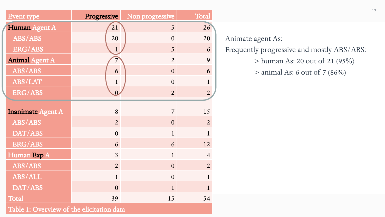| <b>Event type</b>        | Progressive    | Non progressive | Total          |
|--------------------------|----------------|-----------------|----------------|
| Human Agent A            | 21             | 5               | 26             |
| ABS/ABS                  | 20             | $\overline{0}$  | 20             |
| <b>ERG/ABS</b>           | $\mathbf{1}$   | 5               | 6              |
| <b>Animal Agent A</b>    | $\overline{7}$ | $\overline{2}$  | 9              |
| ABS/ABS                  | 6              | $\overline{0}$  | 6              |
| ABS/LAT                  | $\mathbf{1}$   | $\overline{0}$  | $\mathbf{1}$   |
| <b>ERG/ABS</b>           | $\Omega$       | $\overline{2}$  | $\overline{2}$ |
|                          |                |                 |                |
| <b>Inanimate Agent A</b> | 8              | $\overline{7}$  | 15             |
| ABS/ABS                  | $\overline{2}$ | $\overline{0}$  | $\overline{2}$ |
| DAT/ABS                  | $\overline{0}$ | $\mathbf{1}$    | $\mathbf{1}$   |
| <b>ERG/ABS</b>           | 6              | 6               | 12             |
| Human Exp A              | $\overline{3}$ | $\mathbf{1}$    | $\overline{4}$ |
| ABS/ABS                  | $\overline{2}$ | $\overline{0}$  | $\overline{2}$ |
| ABS/ALL                  | $\mathbf{1}$   | $\overline{0}$  | $\mathbf{1}$   |
| DAT/ABS                  | $\overline{0}$ | $\mathbf{1}$    | $\mathbf{1}$   |
| Total                    | 39             | 15              | 54             |

Animate agent As: Frequently progressive and mostly ABS/ABS: > human As: 20 out of 21 (95%) > animal As: 6 out of 7 (86%)

Table 1: Overview of the elicitation data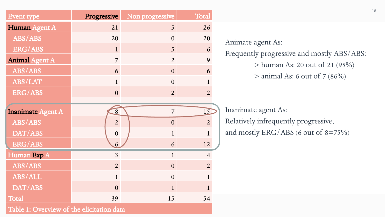| Event type               | Progressive    | Non progressive | Total          |
|--------------------------|----------------|-----------------|----------------|
| Human Agent A            | 21             | 5               | 26             |
| ABS/ABS                  | 20             | $\overline{0}$  | 20             |
| <b>ERG/ABS</b>           | $\mathbf{1}$   | 5               | 6              |
| <b>Animal Agent A</b>    | $\overline{7}$ | $\overline{2}$  | 9              |
| ABS/ABS                  | 6              | $\overline{0}$  | 6              |
| ABS/LAT                  | $\mathbf{1}$   | $\overline{0}$  | $\mathbf{1}$   |
| <b>ERG/ABS</b>           | $\overline{0}$ | $\overline{2}$  | $\overline{2}$ |
|                          |                |                 |                |
| <b>Inanimate Agent A</b> | $\overline{8}$ | $\overline{7}$  | 15             |
| ABS/ABS                  | $\overline{2}$ | $\overline{0}$  | $\overline{2}$ |
| DAT/ABS                  | $\overline{0}$ | $\mathbf{1}$    | $\mathbf{1}$   |
| <b>ERG/ABS</b>           | 6              | 6               | 12             |
| Human Exp A              | $\overline{3}$ | $\mathbf{1}$    | $\overline{4}$ |
| ABS/ABS                  | $\overline{2}$ | $\overline{0}$  | $\overline{2}$ |
| ABS/ALL                  | $\mathbf{1}$   | $\overline{0}$  | $\mathbf{1}$   |
| DAT/ABS                  | $\overline{0}$ | $\mathbf{1}$    | $\mathbf{1}$   |
| Total                    | 39             | 15              | 54             |

Table 1: Overview of the elicitation data

Animate agent As: Frequently progressive and mostly ABS/ABS: > human As: 20 out of 21 (95%)  $>$  animal As: 6 out of 7 (86%)

Inanimate agent As: Relatively infrequently progressive, and mostly ERG/ABS (6 out of 8=75%)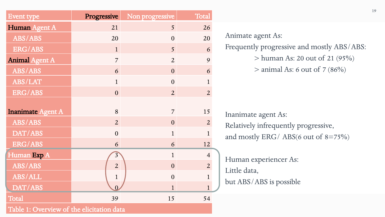| <b>Event type</b>                         | Progressive             | Non progressive | Total          |  |  |
|-------------------------------------------|-------------------------|-----------------|----------------|--|--|
| Human Agent A                             | 21                      | 5               | 26             |  |  |
| ABS/ABS                                   | 20                      | $\overline{0}$  | 20             |  |  |
| <b>ERG/ABS</b>                            | $\mathbf{1}$            | 5               | 6              |  |  |
| <b>Animal Agent A</b>                     | $\overline{7}$          | $\overline{2}$  | 9              |  |  |
| ABS/ABS                                   | 6                       | $\overline{0}$  | 6              |  |  |
| ABS/LAT                                   | $\mathbf{1}$            | $\overline{0}$  | $\mathbf{1}$   |  |  |
| ERG/ABS                                   | $\overline{0}$          | $\overline{2}$  | $\overline{2}$ |  |  |
| <b>Inanimate Agent A</b>                  | 8                       | $\overline{7}$  | 15             |  |  |
| ABS/ABS                                   | $\overline{2}$          | $\overline{0}$  | $\overline{2}$ |  |  |
| DAT/ABS                                   | $\overline{0}$          | $\mathbf{1}$    | $\mathbf{1}$   |  |  |
| ERG/ABS                                   | 6                       | 6               | 12             |  |  |
| Human Exp A                               | $\overline{\mathbf{3}}$ | $\mathbf{1}$    | $\overline{4}$ |  |  |
| ABS/ABS                                   | $\overline{2}$          | $\overline{0}$  | $\overline{2}$ |  |  |
| ABS/ALL                                   | $\mathbf{1}$            | $\overline{0}$  | $\mathbf{1}$   |  |  |
| DAT/ABS                                   | $\overline{0}$          | $\mathbf{1}$    | $\mathbf{1}$   |  |  |
| Total                                     | 39                      | 15              | 54             |  |  |
| Table 1: Overview of the elicitation data |                         |                 |                |  |  |

Animate agent As: Frequently progressive and mostly ABS/ABS: > human As: 20 out of 21 (95%)  $>$  animal As: 6 out of 7 (86%)

Inanimate agent As: Relatively infrequently progressive, and mostly ERG/ ABS(6 out of  $8=75\%$ )

Human experiencer As: Little data, but ABS/ABS is possible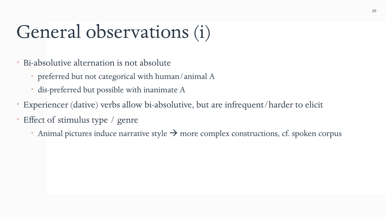## General observations (i)

- Bi-absolutive alternation is not absolute
	- preferred but not categorical with human/animal A
	- dis-preferred but possible with inanimate A
- Experiencer (dative) verbs allow bi-absolutive, but are infrequent/harder to elicit
- Effect of stimulus type / genre
	- Animal pictures induce narrative style  $\rightarrow$  more complex constructions, cf. spoken corpus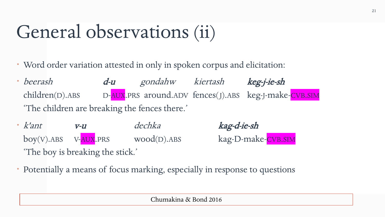## General observations (ii)

- Word order variation attested in only in spoken corpus and elicitation:
- beerash d-u gondahw kiertash keg-j-ie-sh children(D).ABS D-AUX.PRS around.ADV fences(J).ABS keg-J-make-CVB.SIM 'The children are breaking the fences there.'
- k'ant v-u dechka kag-d-ie-sh boy(V).ABS V-AUX.PRS wood(D).ABS kag-D-make-CVB.SIM 'The boy is breaking the stick.'
- Potentially a means of focus marking, especially in response to questions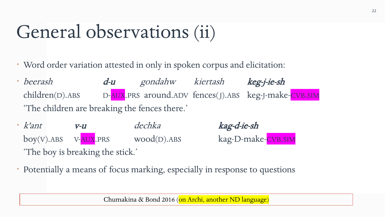## General observations (ii)

- Word order variation attested in only in spoken corpus and elicitation:
- beerash d-u gondahw kiertash keg-j-ie-sh children(D).ABS D-AUX.PRS around.ADV fences(J).ABS keg-J-make-CVB.SIM 'The children are breaking the fences there.'
- k'ant v-u dechka kag-d-ie-sh boy(V).ABS V-AUX.PRS wood(D).ABS kag-D-make-CVB.SIM 'The boy is breaking the stick.'
- Potentially a means of focus marking, especially in response to questions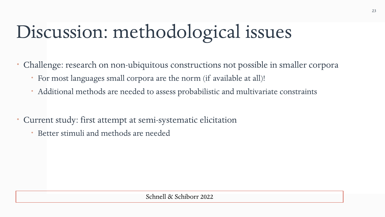# Discussion: methodological issues

Challenge: research on non-ubiquitous constructions not possible in smaller corpora

- For most languages small corpora are the norm (if available at all)!
- Additional methods are needed to assess probabilistic and multivariate constraints
- Current study: first attempt at semi-systematic elicitation
	- Better stimuli and methods are needed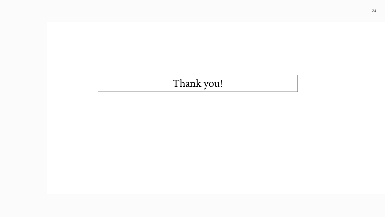#### Thank you!